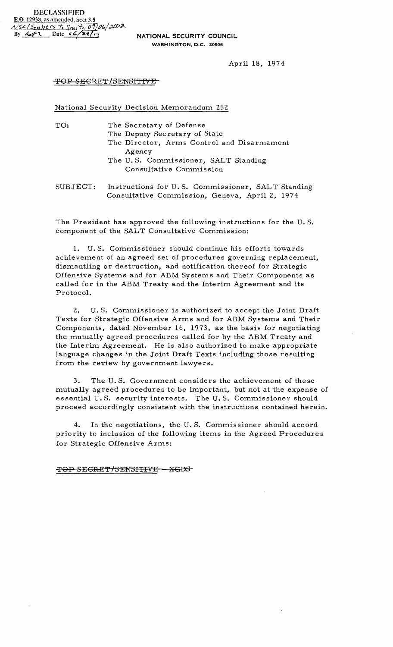April 18, 1974

## TOP SECRET/SENSITIVE

National Security Decision Memorandum 252

| TO:      | The Secretary of Defense<br>The Deputy Secretary of State<br>The Director, Arms Control and Disarmament<br>Agency<br>The U.S. Commissioner, SALT Standing<br>Consultative Commission |
|----------|--------------------------------------------------------------------------------------------------------------------------------------------------------------------------------------|
| SUBJECT: | Instructions for U.S. Commissioner, SALT Standing<br>Consultative Commission, Geneva, April 2, 1974                                                                                  |

The President has approved the following instructions for the U.S. component of the SALT Consultative Commission:

U.S. Commissioner should continue his efforts towards achievement of an agreed set of procedures governing replacement, dismantling or destruction, and notification thereof for Strategic Offensive Systems and for ABM Systems and Their Components as called for in the ABM Treaty and the Interim Agreement and its Protocol.

 $2.$ U.S. Commissioner is authorized to accept the Joint Draft Texts for Strategic Offensive Arms and for ABM Systems and Their Components, dated November 16, 1973, as the basis for negotiating the mutually agreed procedures called for by the ABM Treaty and the Interim Agreement. He is also authorized to make appropriate language changes in the Joint Draft Texts including those resulting from the review by government lawyers.

 $3.$ The U.S. Government considers the achievement of these mutually agreed procedures to be important, but not at the expense of essential U.S. security interests. The U.S. Commissioner should proceed accordingly consistent with the instructions contained herein.

 $4.$ In the negotiations, the U.S. Commissioner should accord priority to inclusion of the following items in the Agreed Procedures for Strategic Offensive Arms:

TOP SECRET/SENSITIVE - XGDS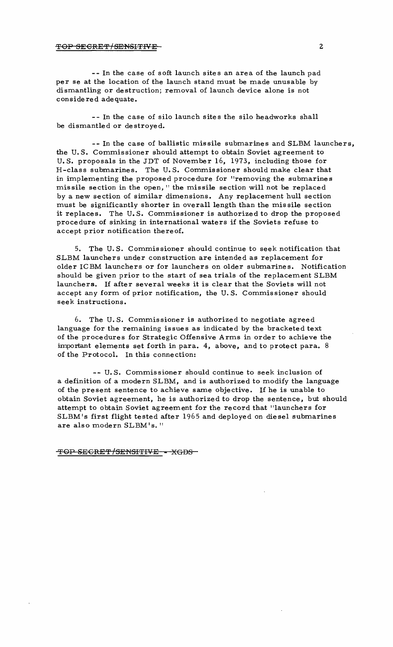## TOP SECRET/SENSITIVE 2

**--** In the case of soft launch sites an area of the launch pad per se at the location of the launch stand must be made unusable by dismantling or destruction; removal of launch device alone is not considered adequate.

-- In the case of silo launch sites the silo headworks shall be dismantled or destroyed.

-- In the case of ballistic missile submarines and SLBM launchers, the U.S. Commissioner should attempt to obtain Soviet agreement to U.S. proposals in the JDT of November 16, 1973, including those for H-class submarines. The U.S. Commissioner should make clear that in implementing the proposed procedure for "removing the submarines missile section in the open," the missile section will not be replaced by a new section of similar dimensions. Any replacement hull section must be significantly shorter in overall length than the missile section it replaces. The U.S. Commissioner is authorized to drop the proposed procedure of sinking in international waters if the Soviets refuse to accept prior notification thereof.

5. The U.S. Commissioner should continue to seek notification that SLBM launchers under construction are intended as replacement for older ICBM launchers or for launchers on older submarines. Notification should be given prior to the start of sea trials of the replacement SLBM launchers. If after several weeks it is clear that the Soviets will not accept any form of prior notification, the U.S. Commissioner should seek instructions.

 $6.$  The U.S. Commissioner is authorized to negotiate agreed language for the remaining issues as indicated by the bracketed text of the procedures for Strategic Offensive Arms in order to achieve the important elements set forth in para. 4, above, and to protect para. 8 of the Protocol. In this connection:

-- U.S. Commissioner should continue to seek inclusion of a definition of a modern SLBM, and is authorized to modify the language of the present sentence to achieve same objective. If he is unable to obtain Soviet agreement, he is authorized to drop the sentence, but should attempt to obtain Soviet agreement for the record that "launchers for SLBM's first flight tested after 1965 and deployed on diesel submarines are also modern SLBM's."

TOP SECRET/SENSITIVE - XGDS